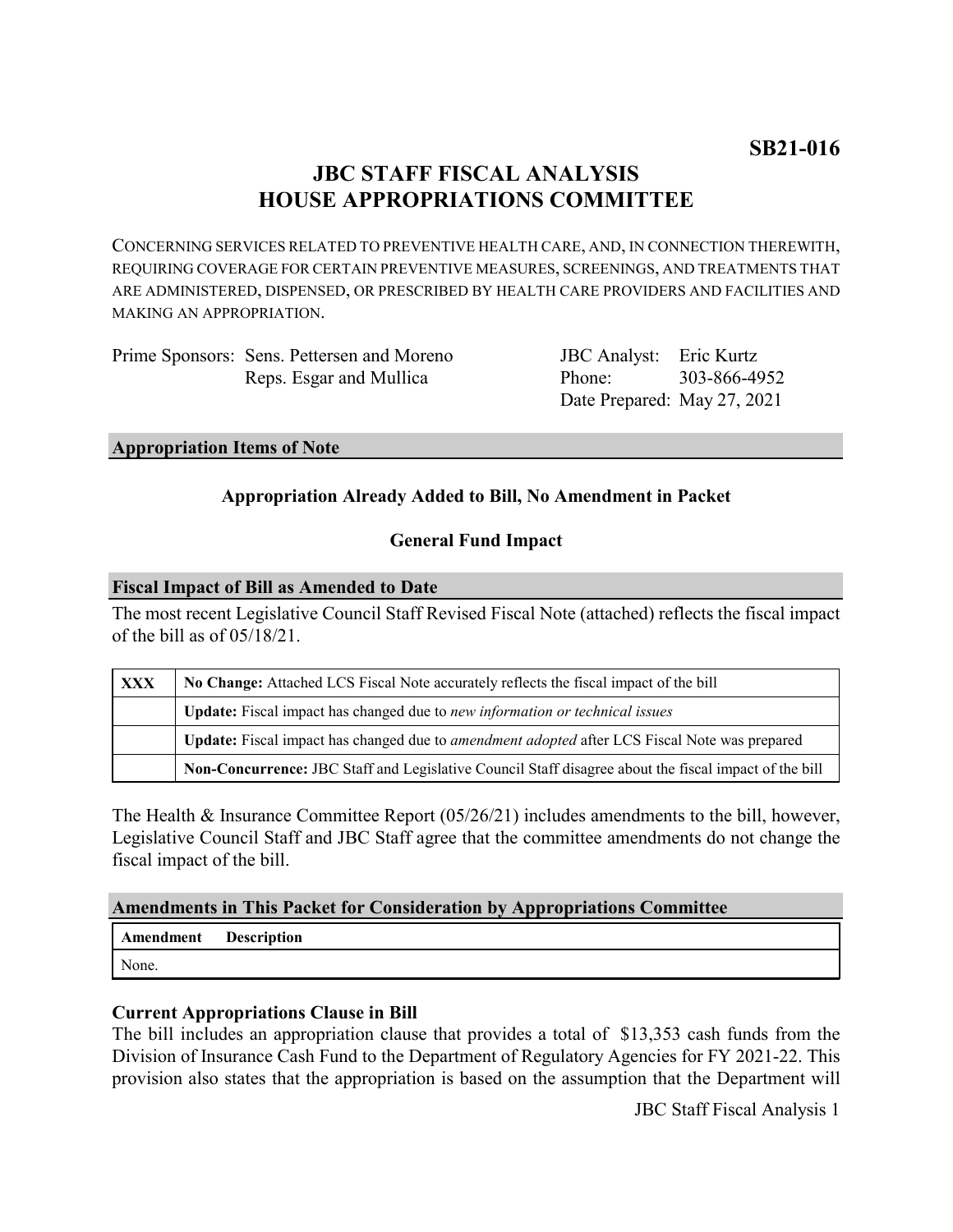# **JBC STAFF FISCAL ANALYSIS HOUSE APPROPRIATIONS COMMITTEE**

CONCERNING SERVICES RELATED TO PREVENTIVE HEALTH CARE, AND, IN CONNECTION THEREWITH, REQUIRING COVERAGE FOR CERTAIN PREVENTIVE MEASURES, SCREENINGS, AND TREATMENTS THAT ARE ADMINISTERED, DISPENSED, OR PRESCRIBED BY HEALTH CARE PROVIDERS AND FACILITIES AND MAKING AN APPROPRIATION.

| Prime Sponsors: Sens. Pettersen and Moreno |
|--------------------------------------------|
| Reps. Esgar and Mullica                    |

JBC Analyst: Eric Kurtz Phone: Date Prepared: May 27, 2021 303-866-4952

#### **Appropriation Items of Note**

# **Appropriation Already Added to Bill, No Amendment in Packet**

# **General Fund Impact**

#### **Fiscal Impact of Bill as Amended to Date**

The most recent Legislative Council Staff Revised Fiscal Note (attached) reflects the fiscal impact of the bill as of 05/18/21.

| <b>XXX</b> | No Change: Attached LCS Fiscal Note accurately reflects the fiscal impact of the bill                 |
|------------|-------------------------------------------------------------------------------------------------------|
|            | Update: Fiscal impact has changed due to new information or technical issues                          |
|            | Update: Fiscal impact has changed due to <i>amendment adopted</i> after LCS Fiscal Note was prepared  |
|            | Non-Concurrence: JBC Staff and Legislative Council Staff disagree about the fiscal impact of the bill |

The Health & Insurance Committee Report (05/26/21) includes amendments to the bill, however, Legislative Council Staff and JBC Staff agree that the committee amendments do not change the fiscal impact of the bill.

#### **Amendments in This Packet for Consideration by Appropriations Committee**

**Amendment Description** None.

#### **Current Appropriations Clause in Bill**

The bill includes an appropriation clause that provides a total of \$13,353 cash funds from the Division of Insurance Cash Fund to the Department of Regulatory Agencies for FY 2021-22. This provision also states that the appropriation is based on the assumption that the Department will

JBC Staff Fiscal Analysis 1